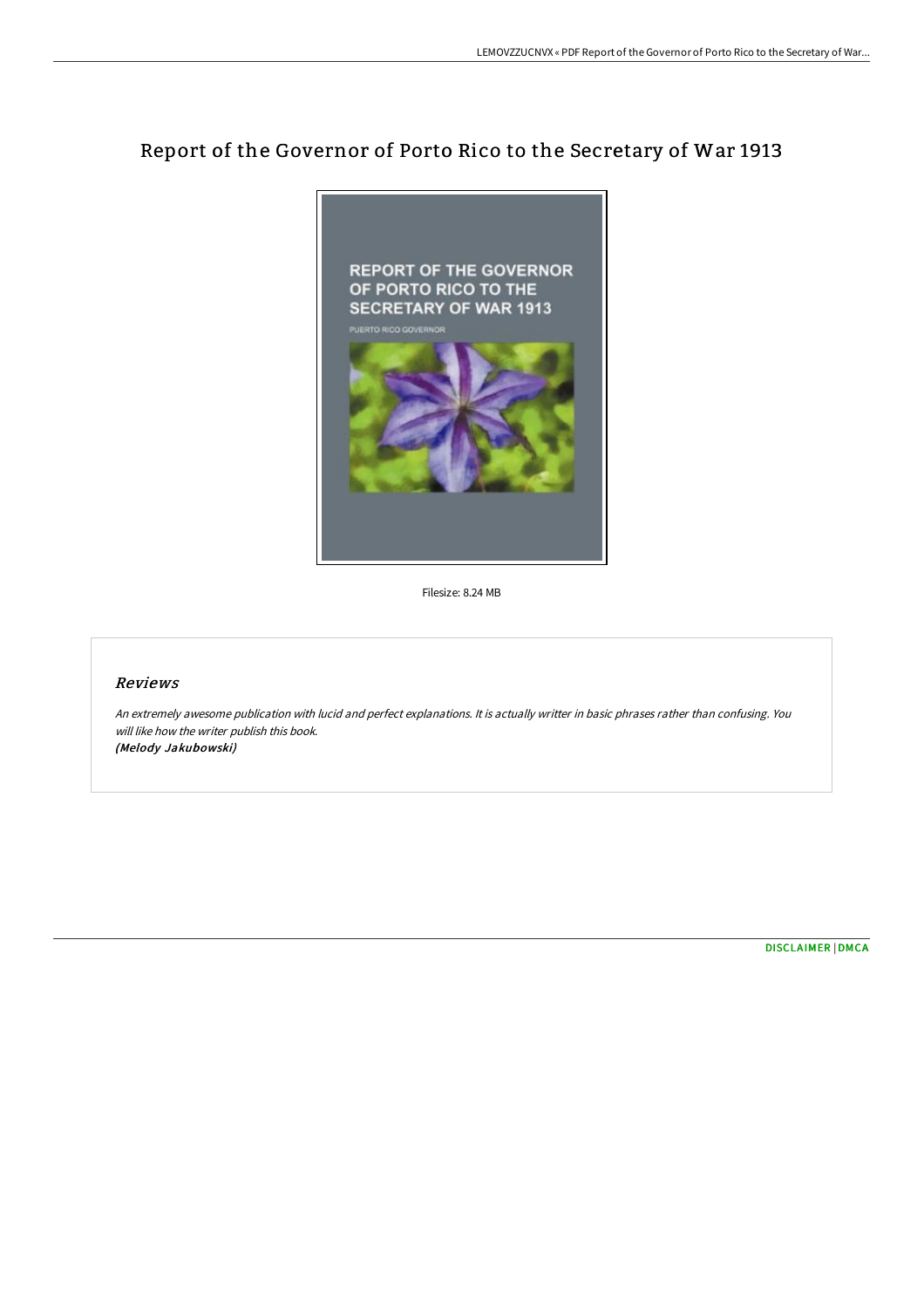# Report of the Governor of Porto Rico to the Secretary of War 1913



Filesize: 8.24 MB

#### Reviews

An extremely awesome publication with lucid and perfect explanations. It is actually writter in basic phrases rather than confusing. You will like how the writer publish this book. (Melody Jakubowski)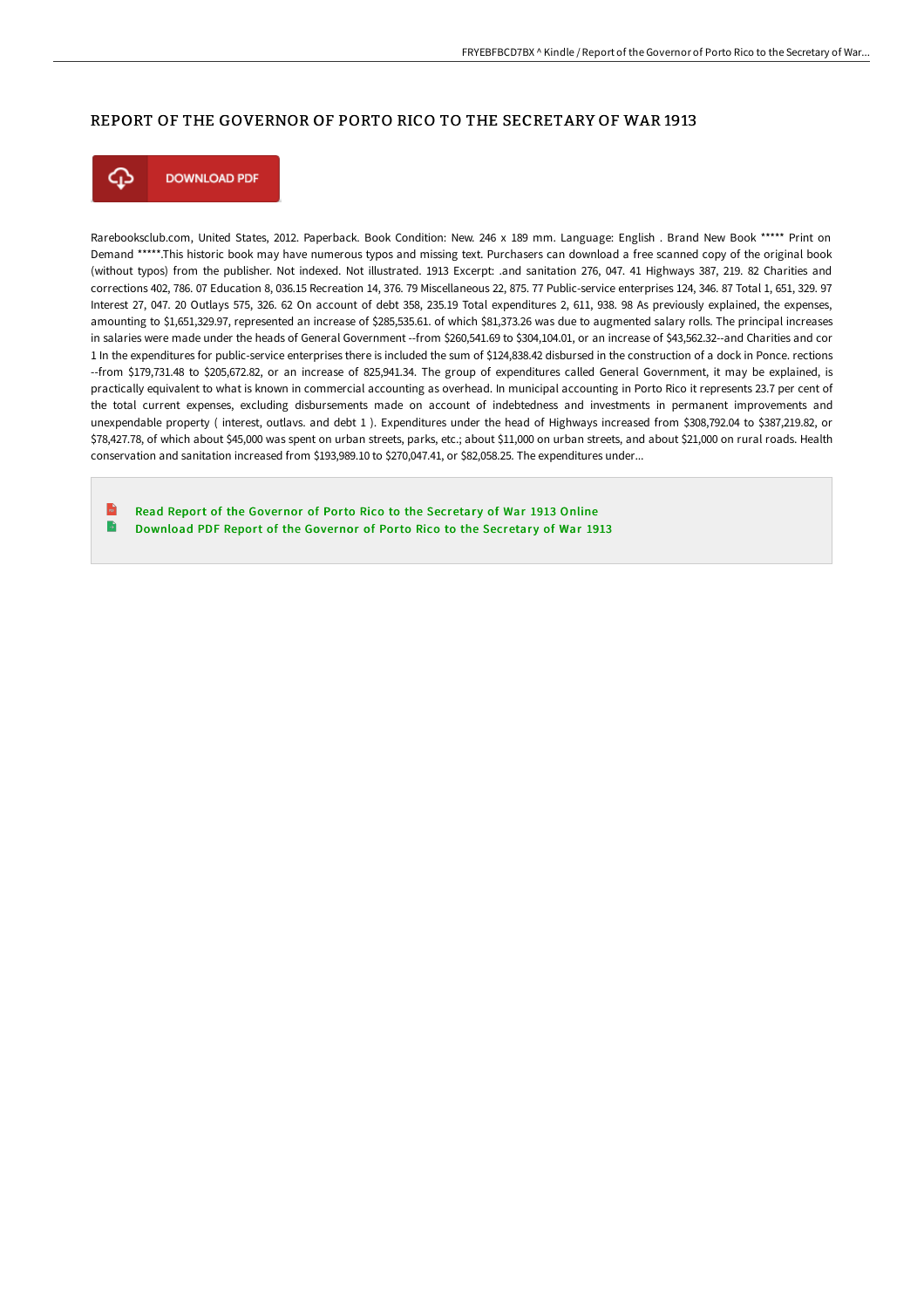## REPORT OF THE GOVERNOR OF PORTO RICO TO THE SECRETARY OF WAR 1913



**DOWNLOAD PDF** 

Rarebooksclub.com, United States, 2012. Paperback. Book Condition: New. 246 x 189 mm. Language: English . Brand New Book \*\*\*\*\* Print on Demand \*\*\*\*\*.This historic book may have numerous typos and missing text. Purchasers can download a free scanned copy of the original book (without typos) from the publisher. Not indexed. Not illustrated. 1913 Excerpt: .and sanitation 276, 047. 41 Highways 387, 219. 82 Charities and corrections 402, 786. 07 Education 8, 036.15 Recreation 14, 376. 79 Miscellaneous 22, 875. 77 Public-service enterprises 124, 346. 87 Total 1, 651, 329. 97 Interest 27, 047. 20 Outlays 575, 326. 62 On account of debt 358, 235.19 Total expenditures 2, 611, 938. 98 As previously explained, the expenses, amounting to \$1,651,329.97, represented an increase of \$285,535.61. of which \$81,373.26 was due to augmented salary rolls. The principal increases in salaries were made under the heads of General Government --from \$260,541.69 to \$304,104.01, or an increase of \$43,562.32--and Charities and cor 1 In the expenditures for public-service enterprises there is included the sum of \$124,838.42 disbursed in the construction of a dock in Ponce. rections --from \$179,731.48 to \$205,672.82, or an increase of 825,941.34. The group of expenditures called General Government, it may be explained, is practically equivalent to what is known in commercial accounting as overhead. In municipal accounting in Porto Rico it represents 23.7 per cent of the total current expenses, excluding disbursements made on account of indebtedness and investments in permanent improvements and unexpendable property ( interest, outlavs. and debt 1 ). Expenditures under the head of Highways increased from \$308,792.04 to \$387,219.82, or \$78,427.78, of which about \$45,000 was spent on urban streets, parks, etc.; about \$11,000 on urban streets, and about \$21,000 on rural roads. Health conservation and sanitation increased from \$193,989.10 to \$270,047.41, or \$82,058.25. The expenditures under...

 $\mathbb{R}$ Read Report of the [Governor](http://techno-pub.tech/report-of-the-governor-of-porto-rico-to-the-secr-1.html) of Porto Rico to the Secretary of War 1913 Online  $\overline{\phantom{a}}$ [Download](http://techno-pub.tech/report-of-the-governor-of-porto-rico-to-the-secr-1.html) PDF Report of the Governor of Porto Rico to the Secretary of War 1913